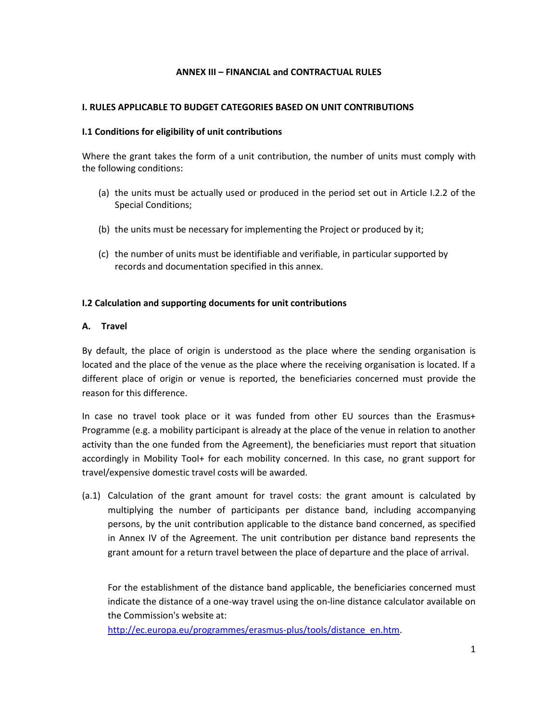### **ANNEX III – FINANCIAL and CONTRACTUAL RULES**

#### **I. RULES APPLICABLE TO BUDGET CATEGORIES BASED ON UNIT CONTRIBUTIONS**

#### **I.1 Conditions for eligibility of unit contributions**

Where the grant takes the form of a unit contribution, the number of units must comply with the following conditions:

- (a) the units must be actually used or produced in the period set out in Article I.2.2 of the Special Conditions;
- (b) the units must be necessary for implementing the Project or produced by it;
- (c) the number of units must be identifiable and verifiable, in particular supported by records and documentation specified in this annex.

#### **I.2 Calculation and supporting documents for unit contributions**

#### **A. Travel**

By default, the place of origin is understood as the place where the sending organisation is located and the place of the venue as the place where the receiving organisation is located. If a different place of origin or venue is reported, the beneficiaries concerned must provide the reason for this difference.

In case no travel took place or it was funded from other EU sources than the Erasmus+ Programme (e.g. a mobility participant is already at the place of the venue in relation to another activity than the one funded from the Agreement), the beneficiaries must report that situation accordingly in Mobility Tool+ for each mobility concerned. In this case, no grant support for travel/expensive domestic travel costs will be awarded.

(a.1) Calculation of the grant amount for travel costs: the grant amount is calculated by multiplying the number of participants per distance band, including accompanying persons, by the unit contribution applicable to the distance band concerned, as specified in Annex IV of the Agreement. The unit contribution per distance band represents the grant amount for a return travel between the place of departure and the place of arrival.

For the establishment of the distance band applicable, the beneficiaries concerned must indicate the distance of a one-way travel using the on-line distance calculator available on the Commission's website at:

[http://ec.europa.eu/programmes/erasmus-plus/tools/distance\\_en.htm.](http://ec.europa.eu/programmes/erasmus-plus/tools/distance_en.htm)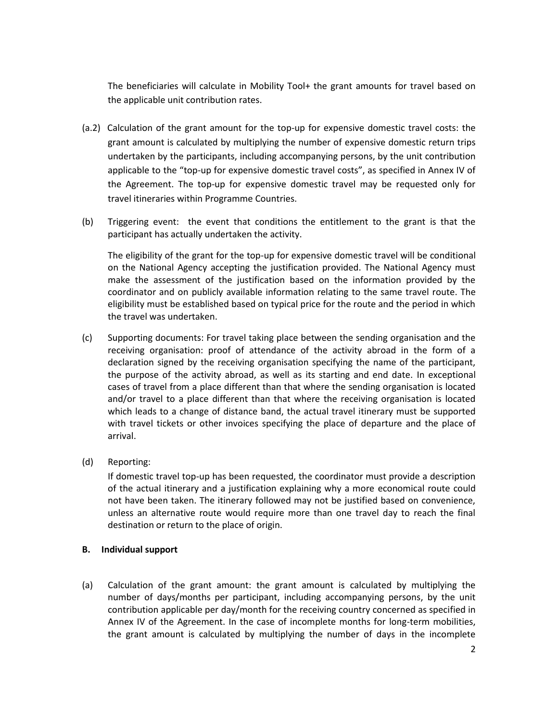The beneficiaries will calculate in Mobility Tool+ the grant amounts for travel based on the applicable unit contribution rates.

- (a.2) Calculation of the grant amount for the top-up for expensive domestic travel costs: the grant amount is calculated by multiplying the number of expensive domestic return trips undertaken by the participants, including accompanying persons, by the unit contribution applicable to the "top-up for expensive domestic travel costs", as specified in Annex IV of the Agreement. The top-up for expensive domestic travel may be requested only for travel itineraries within Programme Countries.
- (b) Triggering event: the event that conditions the entitlement to the grant is that the participant has actually undertaken the activity.

The eligibility of the grant for the top-up for expensive domestic travel will be conditional on the National Agency accepting the justification provided. The National Agency must make the assessment of the justification based on the information provided by the coordinator and on publicly available information relating to the same travel route. The eligibility must be established based on typical price for the route and the period in which the travel was undertaken.

- (c) Supporting documents: For travel taking place between the sending organisation and the receiving organisation: proof of attendance of the activity abroad in the form of a declaration signed by the receiving organisation specifying the name of the participant, the purpose of the activity abroad, as well as its starting and end date. In exceptional cases of travel from a place different than that where the sending organisation is located and/or travel to a place different than that where the receiving organisation is located which leads to a change of distance band, the actual travel itinerary must be supported with travel tickets or other invoices specifying the place of departure and the place of arrival.
- (d) Reporting:

If domestic travel top-up has been requested, the coordinator must provide a description of the actual itinerary and a justification explaining why a more economical route could not have been taken. The itinerary followed may not be justified based on convenience, unless an alternative route would require more than one travel day to reach the final destination or return to the place of origin.

#### **B. Individual support**

(a) Calculation of the grant amount: the grant amount is calculated by multiplying the number of days/months per participant, including accompanying persons, by the unit contribution applicable per day/month for the receiving country concerned as specified in Annex IV of the Agreement. In the case of incomplete months for long-term mobilities, the grant amount is calculated by multiplying the number of days in the incomplete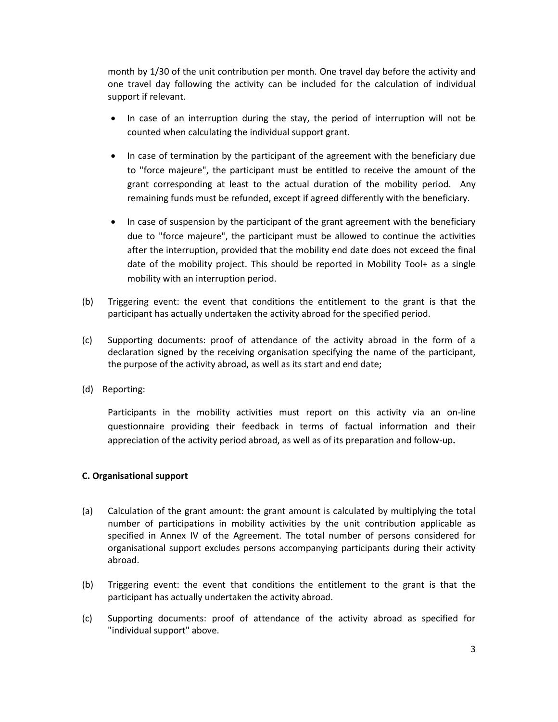month by 1/30 of the unit contribution per month. One travel day before the activity and one travel day following the activity can be included for the calculation of individual support if relevant.

- In case of an interruption during the stay, the period of interruption will not be counted when calculating the individual support grant.
- In case of termination by the participant of the agreement with the beneficiary due to "force majeure", the participant must be entitled to receive the amount of the grant corresponding at least to the actual duration of the mobility period. Any remaining funds must be refunded, except if agreed differently with the beneficiary.
- In case of suspension by the participant of the grant agreement with the beneficiary due to "force majeure", the participant must be allowed to continue the activities after the interruption, provided that the mobility end date does not exceed the final date of the mobility project. This should be reported in Mobility Tool+ as a single mobility with an interruption period.
- (b) Triggering event: the event that conditions the entitlement to the grant is that the participant has actually undertaken the activity abroad for the specified period.
- (c) Supporting documents: proof of attendance of the activity abroad in the form of a declaration signed by the receiving organisation specifying the name of the participant, the purpose of the activity abroad, as well as its start and end date;
- (d) Reporting:

Participants in the mobility activities must report on this activity via an on-line questionnaire providing their feedback in terms of factual information and their appreciation of the activity period abroad, as well as of its preparation and follow-up**.**

#### **C. Organisational support**

- (a) Calculation of the grant amount: the grant amount is calculated by multiplying the total number of participations in mobility activities by the unit contribution applicable as specified in Annex IV of the Agreement. The total number of persons considered for organisational support excludes persons accompanying participants during their activity abroad.
- (b) Triggering event: the event that conditions the entitlement to the grant is that the participant has actually undertaken the activity abroad.
- (c) Supporting documents: proof of attendance of the activity abroad as specified for "individual support" above.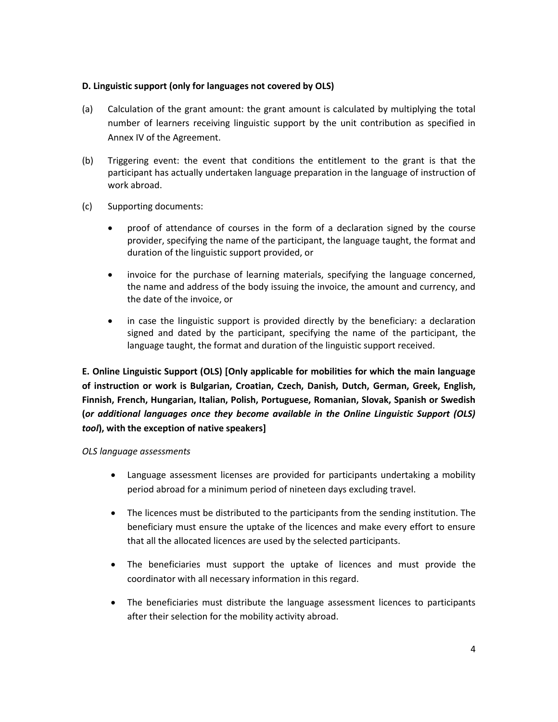### **D. Linguistic support (only for languages not covered by OLS)**

- (a) Calculation of the grant amount: the grant amount is calculated by multiplying the total number of learners receiving linguistic support by the unit contribution as specified in Annex IV of the Agreement.
- (b) Triggering event: the event that conditions the entitlement to the grant is that the participant has actually undertaken language preparation in the language of instruction of work abroad.
- (c) Supporting documents:
	- proof of attendance of courses in the form of a declaration signed by the course provider, specifying the name of the participant, the language taught, the format and duration of the linguistic support provided, or
	- invoice for the purchase of learning materials, specifying the language concerned, the name and address of the body issuing the invoice, the amount and currency, and the date of the invoice, or
	- in case the linguistic support is provided directly by the beneficiary: a declaration signed and dated by the participant, specifying the name of the participant, the language taught, the format and duration of the linguistic support received.

**E. Online Linguistic Support (OLS) [Only applicable for mobilities for which the main language of instruction or work is Bulgarian, Croatian, Czech, Danish, Dutch, German, Greek, English, Finnish, French, Hungarian, Italian, Polish, Portuguese, Romanian, Slovak, Spanish or Swedish (***or additional languages once they become available in the Online Linguistic Support (OLS) tool***), with the exception of native speakers]**

*OLS language assessments*

- Language assessment licenses are provided for participants undertaking a mobility period abroad for a minimum period of nineteen days excluding travel.
- The licences must be distributed to the participants from the sending institution. The beneficiary must ensure the uptake of the licences and make every effort to ensure that all the allocated licences are used by the selected participants.
- The beneficiaries must support the uptake of licences and must provide the coordinator with all necessary information in this regard.
- The beneficiaries must distribute the language assessment licences to participants after their selection for the mobility activity abroad.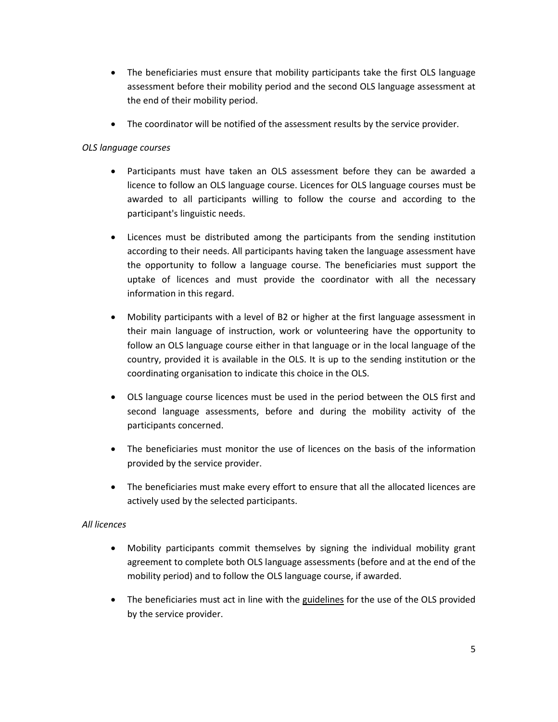- The beneficiaries must ensure that mobility participants take the first OLS language assessment before their mobility period and the second OLS language assessment at the end of their mobility period.
- The coordinator will be notified of the assessment results by the service provider.

## *OLS language courses*

- Participants must have taken an OLS assessment before they can be awarded a licence to follow an OLS language course. Licences for OLS language courses must be awarded to all participants willing to follow the course and according to the participant's linguistic needs.
- Licences must be distributed among the participants from the sending institution according to their needs. All participants having taken the language assessment have the opportunity to follow a language course. The beneficiaries must support the uptake of licences and must provide the coordinator with all the necessary information in this regard.
- Mobility participants with a level of B2 or higher at the first language assessment in their main language of instruction, work or volunteering have the opportunity to follow an OLS language course either in that language or in the local language of the country, provided it is available in the OLS. It is up to the sending institution or the coordinating organisation to indicate this choice in the OLS.
- OLS language course licences must be used in the period between the OLS first and second language assessments, before and during the mobility activity of the participants concerned.
- The beneficiaries must monitor the use of licences on the basis of the information provided by the service provider.
- The beneficiaries must make every effort to ensure that all the allocated licences are actively used by the selected participants.

### *All licences*

- Mobility participants commit themselves by signing the individual mobility grant agreement to complete both OLS language assessments (before and at the end of the mobility period) and to follow the OLS language course, if awarded.
- The beneficiaries must act in line with the guidelines for the use of the OLS provided by the service provider.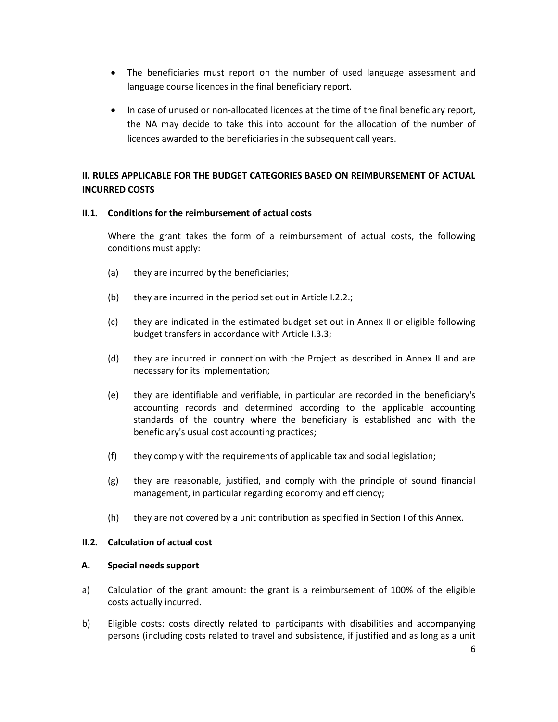- The beneficiaries must report on the number of used language assessment and language course licences in the final beneficiary report.
- In case of unused or non-allocated licences at the time of the final beneficiary report, the NA may decide to take this into account for the allocation of the number of licences awarded to the beneficiaries in the subsequent call years.

## **II. RULES APPLICABLE FOR THE BUDGET CATEGORIES BASED ON REIMBURSEMENT OF ACTUAL INCURRED COSTS**

#### **II.1. Conditions for the reimbursement of actual costs**

Where the grant takes the form of a reimbursement of actual costs, the following conditions must apply:

- (a) they are incurred by the beneficiaries;
- (b) they are incurred in the period set out in Article I.2.2.;
- (c) they are indicated in the estimated budget set out in Annex II or eligible following budget transfers in accordance with Article I.3.3;
- (d) they are incurred in connection with the Project as described in Annex II and are necessary for its implementation;
- (e) they are identifiable and verifiable, in particular are recorded in the beneficiary's accounting records and determined according to the applicable accounting standards of the country where the beneficiary is established and with the beneficiary's usual cost accounting practices;
- (f) they comply with the requirements of applicable tax and social legislation;
- (g) they are reasonable, justified, and comply with the principle of sound financial management, in particular regarding economy and efficiency;
- (h) they are not covered by a unit contribution as specified in Section I of this Annex.

### **II.2. Calculation of actual cost**

#### **A. Special needs support**

- a) Calculation of the grant amount: the grant is a reimbursement of 100% of the eligible costs actually incurred.
- b) Eligible costs: costs directly related to participants with disabilities and accompanying persons (including costs related to travel and subsistence, if justified and as long as a unit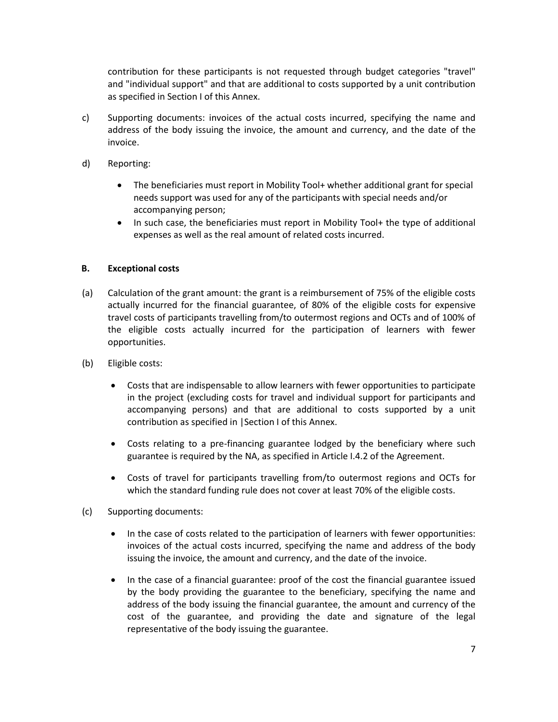contribution for these participants is not requested through budget categories "travel" and "individual support" and that are additional to costs supported by a unit contribution as specified in Section I of this Annex.

- c) Supporting documents: invoices of the actual costs incurred, specifying the name and address of the body issuing the invoice, the amount and currency, and the date of the invoice.
- d) Reporting:
	- The beneficiaries must report in Mobility Tool+ whether additional grant for special needs support was used for any of the participants with special needs and/or accompanying person;
	- In such case, the beneficiaries must report in Mobility Tool+ the type of additional expenses as well as the real amount of related costs incurred.

### **B. Exceptional costs**

- (a) Calculation of the grant amount: the grant is a reimbursement of 75% of the eligible costs actually incurred for the financial guarantee, of 80% of the eligible costs for expensive travel costs of participants travelling from/to outermost regions and OCTs and of 100% of the eligible costs actually incurred for the participation of learners with fewer opportunities.
- (b) Eligible costs:
	- Costs that are indispensable to allow learners with fewer opportunities to participate in the project (excluding costs for travel and individual support for participants and accompanying persons) and that are additional to costs supported by a unit contribution as specified in |Section I of this Annex.
	- Costs relating to a pre-financing guarantee lodged by the beneficiary where such guarantee is required by the NA, as specified in Article I.4.2 of the Agreement.
	- Costs of travel for participants travelling from/to outermost regions and OCTs for which the standard funding rule does not cover at least 70% of the eligible costs.
- (c) Supporting documents:
	- In the case of costs related to the participation of learners with fewer opportunities: invoices of the actual costs incurred, specifying the name and address of the body issuing the invoice, the amount and currency, and the date of the invoice.
	- In the case of a financial guarantee: proof of the cost the financial guarantee issued by the body providing the guarantee to the beneficiary, specifying the name and address of the body issuing the financial guarantee, the amount and currency of the cost of the guarantee, and providing the date and signature of the legal representative of the body issuing the guarantee.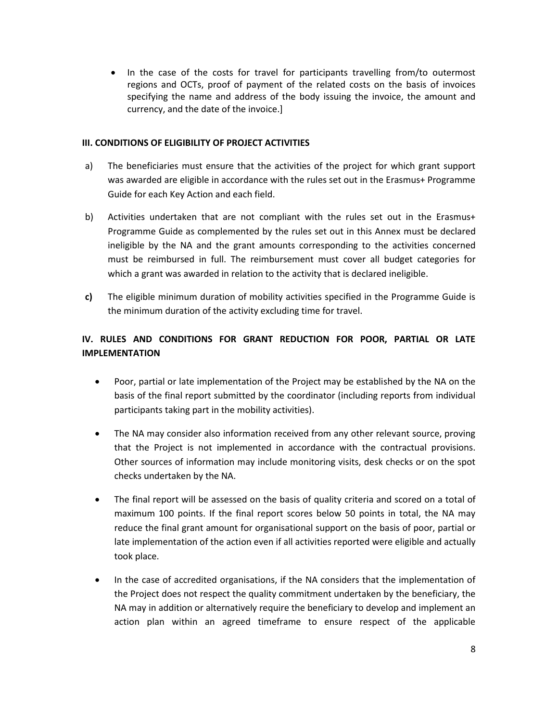• In the case of the costs for travel for participants travelling from/to outermost regions and OCTs, proof of payment of the related costs on the basis of invoices specifying the name and address of the body issuing the invoice, the amount and currency, and the date of the invoice.]

#### **III. CONDITIONS OF ELIGIBILITY OF PROJECT ACTIVITIES**

- a) The beneficiaries must ensure that the activities of the project for which grant support was awarded are eligible in accordance with the rules set out in the Erasmus+ Programme Guide for each Key Action and each field.
- b) Activities undertaken that are not compliant with the rules set out in the Erasmus+ Programme Guide as complemented by the rules set out in this Annex must be declared ineligible by the NA and the grant amounts corresponding to the activities concerned must be reimbursed in full. The reimbursement must cover all budget categories for which a grant was awarded in relation to the activity that is declared ineligible.
- **c)** The eligible minimum duration of mobility activities specified in the Programme Guide is the minimum duration of the activity excluding time for travel.

# **IV. RULES AND CONDITIONS FOR GRANT REDUCTION FOR POOR, PARTIAL OR LATE IMPLEMENTATION**

- Poor, partial or late implementation of the Project may be established by the NA on the basis of the final report submitted by the coordinator (including reports from individual participants taking part in the mobility activities).
- The NA may consider also information received from any other relevant source, proving that the Project is not implemented in accordance with the contractual provisions. Other sources of information may include monitoring visits, desk checks or on the spot checks undertaken by the NA.
- The final report will be assessed on the basis of quality criteria and scored on a total of maximum 100 points. If the final report scores below 50 points in total, the NA may reduce the final grant amount for organisational support on the basis of poor, partial or late implementation of the action even if all activities reported were eligible and actually took place.
- In the case of accredited organisations, if the NA considers that the implementation of the Project does not respect the quality commitment undertaken by the beneficiary, the NA may in addition or alternatively require the beneficiary to develop and implement an action plan within an agreed timeframe to ensure respect of the applicable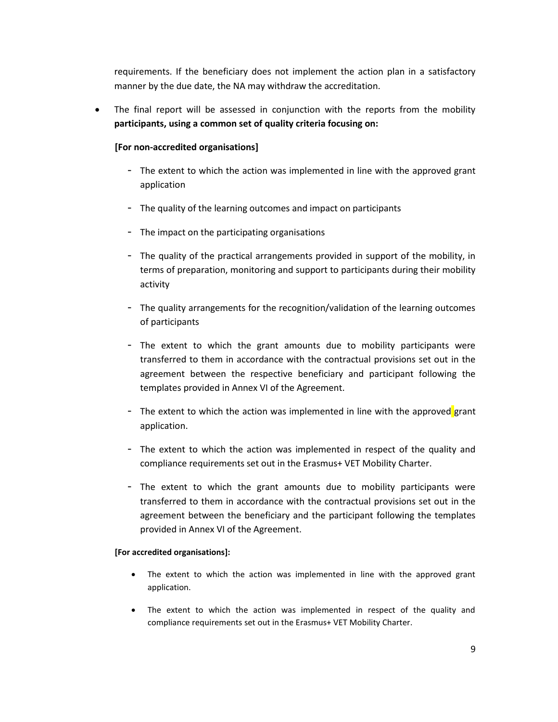requirements. If the beneficiary does not implement the action plan in a satisfactory manner by the due date, the NA may withdraw the accreditation.

 The final report will be assessed in conjunction with the reports from the mobility **participants, using a common set of quality criteria focusing on:**

### **[For non-accredited organisations]**

- The extent to which the action was implemented in line with the approved grant application
- The quality of the learning outcomes and impact on participants
- The impact on the participating organisations
- The quality of the practical arrangements provided in support of the mobility, in terms of preparation, monitoring and support to participants during their mobility activity
- The quality arrangements for the recognition/validation of the learning outcomes of participants
- The extent to which the grant amounts due to mobility participants were transferred to them in accordance with the contractual provisions set out in the agreement between the respective beneficiary and participant following the templates provided in Annex VI of the Agreement.
- The extent to which the action was implemented in line with the approved grant application.
- The extent to which the action was implemented in respect of the quality and compliance requirements set out in the Erasmus+ VET Mobility Charter.
- The extent to which the grant amounts due to mobility participants were transferred to them in accordance with the contractual provisions set out in the agreement between the beneficiary and the participant following the templates provided in Annex VI of the Agreement.

#### **[For accredited organisations]:**

- The extent to which the action was implemented in line with the approved grant application.
- The extent to which the action was implemented in respect of the quality and compliance requirements set out in the Erasmus+ VET Mobility Charter.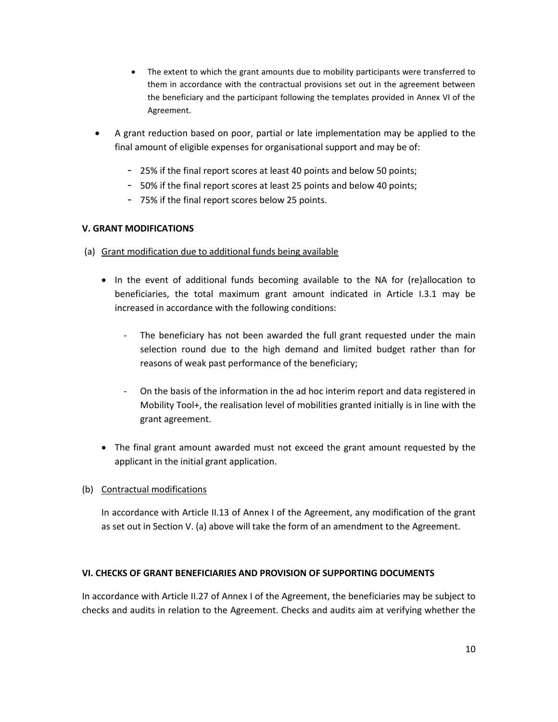- The extent to which the grant amounts due to mobility participants were transferred to them in accordance with the contractual provisions set out in the agreement between the beneficiary and the participant following the templates provided in Annex VI of the Agreement.
- A grant reduction based on poor, partial or late implementation may be applied to the final amount of eligible expenses for organisational support and may be of:
	- 25% if the final report scores at least 40 points and below 50 points;
	- 50% if the final report scores at least 25 points and below 40 points;
	- 75% if the final report scores below 25 points.

### **V. GRANT MODIFICATIONS**

- (a) Grant modification due to additional funds being available
	- In the event of additional funds becoming available to the NA for (re)allocation to beneficiaries, the total maximum grant amount indicated in Article I.3.1 may be increased in accordance with the following conditions:
		- The beneficiary has not been awarded the full grant requested under the main selection round due to the high demand and limited budget rather than for reasons of weak past performance of the beneficiary;
		- On the basis of the information in the ad hoc interim report and data registered in Mobility Tool+, the realisation level of mobilities granted initially is in line with the grant agreement.
	- The final grant amount awarded must not exceed the grant amount requested by the applicant in the initial grant application.

### (b) Contractual modifications

In accordance with Article II.13 of Annex I of the Agreement, any modification of the grant as set out in Section V. (a) above will take the form of an amendment to the Agreement.

### **VI. CHECKS OF GRANT BENEFICIARIES AND PROVISION OF SUPPORTING DOCUMENTS**

In accordance with Article II.27 of Annex I of the Agreement, the beneficiaries may be subject to checks and audits in relation to the Agreement. Checks and audits aim at verifying whether the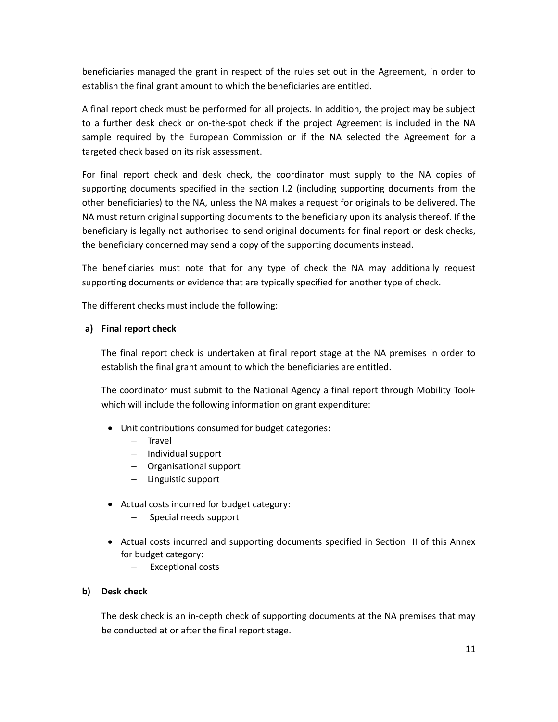beneficiaries managed the grant in respect of the rules set out in the Agreement, in order to establish the final grant amount to which the beneficiaries are entitled.

A final report check must be performed for all projects. In addition, the project may be subject to a further desk check or on-the-spot check if the project Agreement is included in the NA sample required by the European Commission or if the NA selected the Agreement for a targeted check based on its risk assessment.

For final report check and desk check, the coordinator must supply to the NA copies of supporting documents specified in the section I.2 (including supporting documents from the other beneficiaries) to the NA, unless the NA makes a request for originals to be delivered. The NA must return original supporting documents to the beneficiary upon its analysis thereof. If the beneficiary is legally not authorised to send original documents for final report or desk checks, the beneficiary concerned may send a copy of the supporting documents instead.

The beneficiaries must note that for any type of check the NA may additionally request supporting documents or evidence that are typically specified for another type of check.

The different checks must include the following:

#### **a) Final report check**

The final report check is undertaken at final report stage at the NA premises in order to establish the final grant amount to which the beneficiaries are entitled.

The coordinator must submit to the National Agency a final report through Mobility Tool+ which will include the following information on grant expenditure:

- Unit contributions consumed for budget categories:
	- $-$  Travel
	- $-$  Individual support
	- Organisational support
	- Linguistic support
- Actual costs incurred for budget category:
	- Special needs support
- Actual costs incurred and supporting documents specified in Section II of this Annex for budget category:
	- Exceptional costs

#### **b) Desk check**

The desk check is an in-depth check of supporting documents at the NA premises that may be conducted at or after the final report stage.